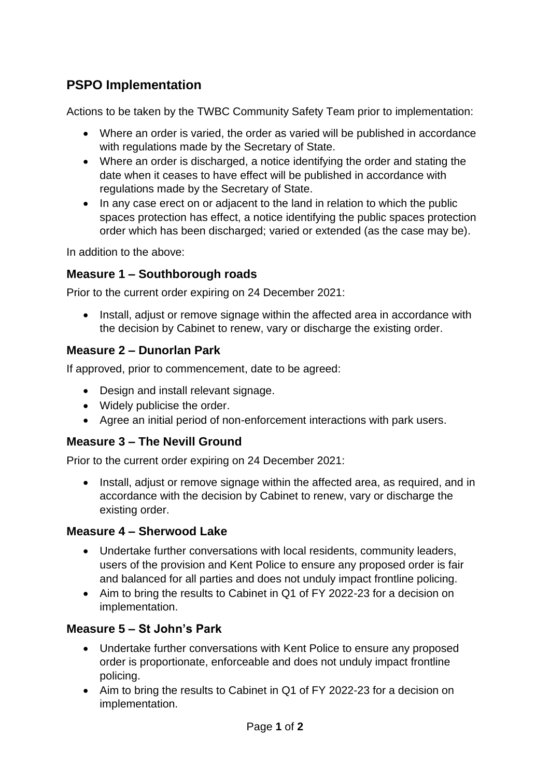# **PSPO Implementation**

Actions to be taken by the TWBC Community Safety Team prior to implementation:

- Where an order is varied, the order as varied will be published in accordance with regulations made by the Secretary of State.
- Where an order is discharged, a notice identifying the order and stating the date when it ceases to have effect will be published in accordance with regulations made by the Secretary of State.
- In any case erect on or adjacent to the land in relation to which the public spaces protection has effect, a notice identifying the public spaces protection order which has been discharged; varied or extended (as the case may be).

In addition to the above:

## **Measure 1 – Southborough roads**

Prior to the current order expiring on 24 December 2021:

• Install, adjust or remove signage within the affected area in accordance with the decision by Cabinet to renew, vary or discharge the existing order.

## **Measure 2 – Dunorlan Park**

If approved, prior to commencement, date to be agreed:

- Design and install relevant signage.
- Widely publicise the order.
- Agree an initial period of non-enforcement interactions with park users.

# **Measure 3 – The Nevill Ground**

Prior to the current order expiring on 24 December 2021:

• Install, adjust or remove signage within the affected area, as required, and in accordance with the decision by Cabinet to renew, vary or discharge the existing order.

## **Measure 4 – Sherwood Lake**

- Undertake further conversations with local residents, community leaders, users of the provision and Kent Police to ensure any proposed order is fair and balanced for all parties and does not unduly impact frontline policing.
- Aim to bring the results to Cabinet in Q1 of FY 2022-23 for a decision on implementation.

## **Measure 5 – St John's Park**

- Undertake further conversations with Kent Police to ensure any proposed order is proportionate, enforceable and does not unduly impact frontline policing.
- Aim to bring the results to Cabinet in Q1 of FY 2022-23 for a decision on implementation.